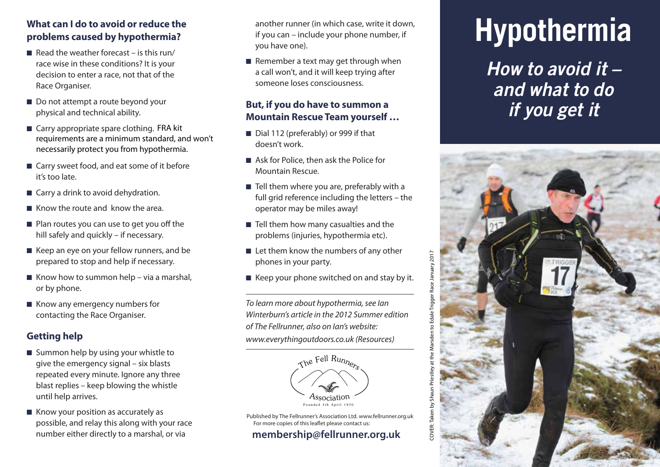# **What can I do to avoid or reduce the problems caused by hypothermia?**

- $\blacksquare$  Read the weather forecast is this run/ race wise in these conditions? It is your decision to enter a race, not that of the Race Organiser.
- Do not attempt a route beyond your physical and technical ability.
- Carry appropriate spare clothing. FRA kit requirements are a minimum standard, and won't necessarily protect you from hypothermia.
- Carry sweet food, and eat some of it before it's too late.
- Carry a drink to avoid dehydration.
- Know the route and know the area.
- Plan routes you can use to get you off the hill safely and quickly – if necessary.
- Keep an eye on your fellow runners, and be prepared to stop and help if necessary.
- $\blacksquare$  Know how to summon help via a marshal, or by phone.
- Know any emergency numbers for contacting the Race Organiser.

# **Getting help**

- Summon help by using your whistle to give the emergency signal – six blasts repeated every minute. Ignore any three blast replies – keep blowing the whistle until help arrives.
- Know your position as accurately as possible, and relay this along with your race number either directly to a marshal, or via

another runner (in which case, write it down, if you can – include your phone number, if you have one).

■ Remember a text may get through when a call won't, and it will keep trying after someone loses consciousness.

## **But, if you do have to summon a Mountain Rescue Team yourself …**

- Dial 112 (preferably) or 999 if that doesn't work.
- Ask for Police, then ask the Police for Mountain Rescue.
- Tell them where you are, preferably with a full grid reference including the letters – the operator may be miles away!
- Tell them how many casualties and the problems (injuries, hypothermia etc).
- Let them know the numbers of any other phones in your party.
- Keep your phone switched on and stay by it.

*To learn more about hypothermia, see Ian Winterburn's article in the 2012 Summer edition of The Fellrunner, also on Ian's website: www.everythingoutdoors.co.uk (Resources)*



Published by The Fellrunner's Association Ltd. www.fellrunner.org.uk For more copies of this leaflet please contact us: **membership@fellrunner.org.uk**

# **Hypothermia**

*How to avoid it – and what to do if you get it*